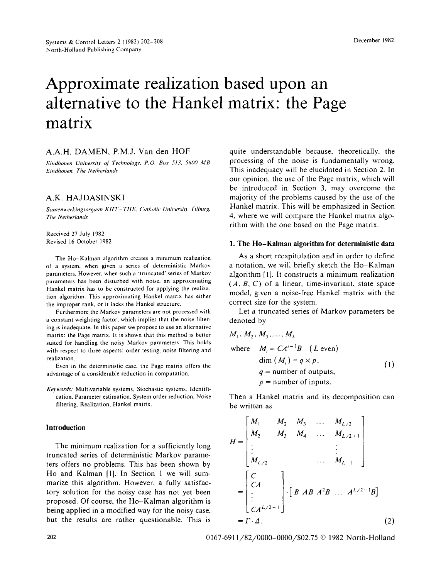# **Approximate realization based upon an alternative to the Hankel matrix: the Page matrix**

# A.A.H. DAMEN, P.M.J. Van den HOF

*Eindhoven University of Technology. P.O. Box 513. 5600 MB Eindhoven. The Netherlands* 

# **A.K.** HAJDASINSKI

Samenwerkingsorgaan KHT-THE, Catholic University Tilburg, *The Netherlands* 

Received 27 July 1982 Revised 16 October 1982

The Ho-Kalman algorithm creates a minimum realization of a system, when given a series of deterministic Markov parameters. However, when such a 'truncated' series of Markov parameters has been disturbed with noise, an approximating Hankel matrix has to be constructed for applying the realization algorithm. This approximating Hankel matrix has either the improper rank. or it lacks the Hankel structure.

Furthermore the Markov parameters are not processed with a constant weighting factor, which implies that the noise filtering is inadequate. In this paper we propose to use an alternative matrix: the Page matrix. It is shown that this method is better suited for handling the noisy Markov parameters. This holds with respect to three aspects: order testing, noise filtering and realization.

Even in the deterministic case, the Page matrix offers the advantage of a considerable reduction in computation.

*Kevwords."* Multivariable systems, Stochastic systems, Identification. Parameter estimation, System order reduction, Noise filtering, Realization, Hankel matrix.

## **Introduction**

The minimum realization for a sufficiently long truncated series of deterministic Markov parameters offers no problems. This has been shown by Ho and Kalman [1]. In Section 1 we will summarize this algorithm. However, a fully satisfactory solution for the noisy case has not yet been proposed. Of course, the Ho-Kalman algorithm is being applied in a modified way for the noisy case, but the results are rather questionable. This is quite understandable because, theoretically, the processing of the noise is fundamentally wrong. This inadequacy will be elucidated in Section 2. In our opinion, the use of the Page matrix, which will be introduced in Section 3, may overcome the majority of the problems caused by the use of the Hankel matrix. This will be emphasized in Section 4, where we will compare the Hankel matrix algorithm with the one based on the Page matrix.

## **1. The** Ho-Kalman algorithm **for deterministic** data

As a short recapitulation and in order to define a notation, we will briefly sketch the Ho-Kalman algorithm [1], It constructs a minimum realization *(A, B, C)* of a linear, time-invariant, state space model, given a noise-free Hankel matrix with the correct size for the system.

Let a truncated series of Markov parameters be denoted by

 $\sim$ 

$$
M_1, M_2, M_3, ..., M_L
$$
  
where  $M_i = CA^{i-1}B$  (*L* even)  

$$
\dim (M_i) = q \times p,
$$
  
 $q =$  number of outputs,  
 $p =$  number of inputs. (1)

Then a Hankel matrix and its decomposition can be written as

$$
H = \begin{bmatrix} M_1 & M_2 & M_3 & \dots & M_{L/2} \\ M_2 & M_3 & M_4 & \dots & M_{L/2+1} \\ \vdots & & & \vdots & \vdots \\ M_{L/2} & & & \dots & M_{L-1} \end{bmatrix}
$$
  
= 
$$
\begin{bmatrix} C \\ CA \\ \vdots \\ CA^{L/2-1} \end{bmatrix} \cdot \begin{bmatrix} B & AB & A^2B & \dots & A^{L/2-1}B \end{bmatrix}
$$
  
= 
$$
\Gamma \cdot \Delta.
$$
 (2)

202 0167-6911/82/0000-0000/\$02.75 © 1982 North-Holland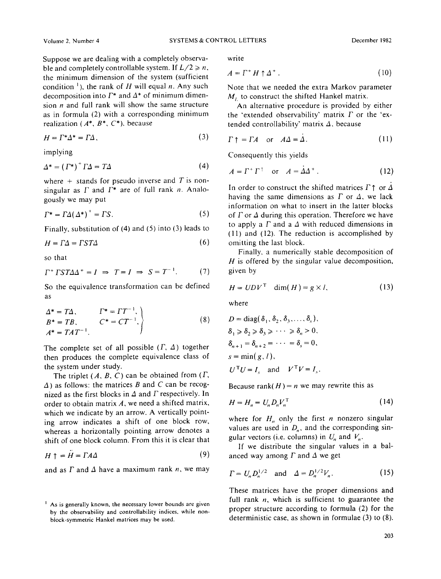Suppose we are dealing with a completely observable and completely controllable system. If  $L/2 \ge n$ , the minimum dimension of the system (sufficient condition<sup>1</sup>), the rank of H will equal n. Any such decomposition into  $\Gamma^*$  and  $\Delta^*$  of minimum dimension  $n$  and full rank will show the same structure as in formula (2) with a corresponding minimum realization (A\*, *B\*, C\*),* because

$$
H = \Gamma^* \Delta^* = \Gamma \Delta, \tag{3}
$$

implying

$$
\Delta^* = \left(\Gamma^*\right)^+ \Gamma \Delta = T \Delta \tag{4}
$$

where  $+$  stands for pseudo inverse and T is nonsingular as  $\Gamma$  and  $\Gamma^*$  are of full rank *n*. Analogously we may put

$$
\Gamma^* = \Gamma \Delta (\Delta^*)^+ = \Gamma S. \tag{5}
$$

Finally, substitution of (4) and (5) into (3) leads to

$$
H = \Gamma \Delta = \Gamma S \Gamma \Delta \tag{6}
$$

so that

$$
\Gamma^+ \Gamma S T \Delta \Delta^+ = I \implies T = I \implies S = T^{-1}.\tag{7}
$$

So the equivalence transformation can be defined as

$$
\begin{aligned}\n\Delta^* &= T\Delta, & \Gamma^* &= TT^{-1}, \\
B^* &= TB, & C^* &= CT^{-1}, \\
A^* &= TAT^{-1}.\n\end{aligned}
$$
\n(8)

The complete set of all possible  $(\Gamma, \Delta)$  together then produces the complete equivalence class of the system under study.

The triplet  $(A, B, C)$  can be obtained from  $(\Gamma,$  $\Delta$ ) as follows: the matrices B and C can be recognized as the first blocks in  $\Delta$  and  $\Gamma$  respectively. In order to obtain matrix  $A$ , we need a shifted matrix, which we indicate by an arrow. A vertically pointing arrow indicates a shift of one block row, whereas a horizontally pointing arrow denotes a shift of one block column. From this it is clear that

$$
H \uparrow = H = \Gamma A \Delta \tag{9}
$$

and as  $\Gamma$  and  $\Delta$  have a maximum rank n, we may

write

$$
A = \Gamma^+ H \uparrow \Delta^+ \,. \tag{10}
$$

Note that we needed the extra Markov parameter  $M<sub>t</sub>$  to construct the shifted Hankel matrix.

An alternative procedure is provided by either the 'extended observability' matrix  $\Gamma$  or the 'extended controllability' matrix *A,* because

$$
\Gamma \uparrow = \Gamma A \quad \text{or} \quad A\Delta = \Delta. \tag{11}
$$

Consequently this yields

$$
A = \Gamma^+ \Gamma^+ \quad \text{or} \quad A = \dot{\Delta} \Delta^+ \,. \tag{12}
$$

In order to construct the shifted matrices  $\Gamma \uparrow$  or  $\Delta$ having the same dimensions as  $\Gamma$  or  $\Delta$ , we lack information on what to insert in the latter blocks of  $\Gamma$  or  $\Delta$  during this operation. Therefore we have to apply a  $\Gamma$  and a  $\Delta$  with reduced dimensions in (11) and (12). The reduction is accomplished by omitting the last block.

Finally, a numerically stable decomposition of  $H$  is offered by the singular value decomposition, given by

$$
H = UDVT \quad \dim(H) = g \times l,
$$
 (13)

where

$$
D = \text{diag}(\delta_1, \delta_2, \delta_3, \dots, \delta_s),
$$
  
\n
$$
\delta_1 \geq \delta_2 \geq \delta_3 \geq \dots \geq \delta_n > 0,
$$
  
\n
$$
\delta_{n+1} = \delta_{n+2} = \dots = \delta_s = 0,
$$
  
\n
$$
s = \min(g, l),
$$
  
\n
$$
U^T U = I_s \text{ and } V^T V = I_s.
$$

Because rank( $H$ ) = *n* we may rewrite this as

$$
H = H_n = U_n D_n V_n^{\mathrm{T}} \tag{14}
$$

where for  $H_n$  only the first *n* nonzero singular values are used in  $D_n$ , and the corresponding singular vectors (i.e. columns) in  $U_n$  and  $V_n$ .

If we distribute the singular values in a balanced way among  $\Gamma$  and  $\Delta$  we get

$$
\Gamma = U_n D_n^{1/2} \text{ and } \Delta = D_n^{1/2} V_n. \tag{15}
$$

These matrices have the proper dimensions and full rank  $n$ , which is sufficient to guarantee the proper structure according to formula (2) for the deterministic case, as shown in formulae (3) to (8).

 $<sup>1</sup>$  As is generally known, the necessary lower bounds are given</sup> by the observability and controllability indices, while nonblock-symmetric Hankel matrices may be used.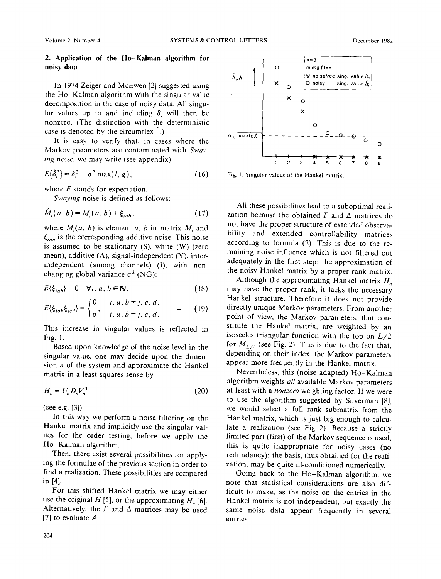## **2. Application of the Ho-Kaiman algorithm** for **noisy** data

In 1974 Zeiger and McEwen [2] suggested using the Ho-Kalman algorithm with the singular value decomposition in the case of noisy data. All singular values up to and including  $\delta$ , will then be nonzero. (The distinction with the deterministic case is denoted by the circumflex .)

It is easy to verify that, in cases where the Markov parameters are contaminated with Sway*ing* noise, we may write (see appendix)

$$
E\{\hat{\delta}_i^2\} = \delta_i^2 + \sigma^2 \max(l, g), \qquad (16)
$$

where  $E$  stands for expectation.

*Swaying* noise is defined as follows:

$$
\tilde{M}_i(a,b) = M_i(a,b) + \xi_{iab},\qquad(17)
$$

where  $M_i(a, b)$  is element a, b in matrix  $M_i$  and  $\xi_{iab}$  is the corresponding additive noise. This noise is assumed to be stationary (S), white (W) (zero mean), additive (A), signal-independent (Y), interindependent (among channels) (I), with nonchanging global variance  $\sigma^2$  (NG):

$$
E(\xi_{iab}) = 0 \quad \forall i, a, b \in \mathbb{N}, \tag{18}
$$

$$
E\langle \xi_{iab}\xi_{jcd}\rangle = \begin{cases} 0 & i, a, b \neq j, c, d, \\ \sigma^2 & i, a, b = j, c, d. \end{cases}
$$
 (19)

This increase in singular values is reflected in Fig. 1.

Based upon knowledge of the noise level in the singular value, one may decide upon the dimension  $n$  of the system and approximate the Hankel matrix in a least squares sense by

$$
H_n = U_n D_n V_n^{\mathrm{T}} \tag{20}
$$

(see e.g. [3]).

In this way we perform a noise filtering on the Hankel matrix and implicitly use the singular values for the order testing, before we apply the Ho-Kalman algorithm.

Then, there exist several possibilities for applying the formulae of the previous section in order to find a realization. These possibilities are compared in [4].

For this shifted Hankel matrix we may either use the original H [5], or the approximating  $H_n$  [6]. Alternatively, the  $\Gamma$  and  $\Delta$  matrices may be used [7] to evaluate  $A$ .



Fig. 1. Singular values of the Hankel matrix.

All these possibilities lead to a suboptimal realization because the obtained  $\Gamma$  and  $\Delta$  matrices do not have the proper structure of extended observability and extended controllability matrices according to formula (2). This is due to the remaining noise influence which is not filtered out adequately in the first step: the approximation of the noisy Hankel matrix by a proper rank matrix.

Although the approximating Hankel matrix *H,,*  may have the proper rank, it lacks the necessary Hankel structure. Therefore it does not provide directly unique Markov parameters. From another point of view, the Markov parameters, that constitute the Hankel matrix, are weighted by an isosceles triangular function with the top on *L/2*  for  $M_{L/2}$  (see Fig. 2). This is due to the fact that, depending on their index, the Markov parameters appear more frequently in the Hankel matrix.

Nevertheless, this (noise adapted) Ho-Kalman algorithm weights *all* available Markov parameters at least with a *nonzero* weighting factor. If we were to use the algorithm suggested by Silverman [8], we would select a full rank submatrix from the Hankel matrix, which is just big enough to calculate a realization (see Fig. 2). Because a strictly limited part (first) of the Markov sequence is used, this is quite inappropriate for noisy cases (no redundancy): the basis, thus obtained for the realization, may be quite ill-conditioned numerically.

Going back to the Ho-Kalman algorithm, we note that statistical considerations are also difficult to make, as the noise on the entries in the Hankel matrix is not independent, but exactly the same noise data appear frequently in several entries.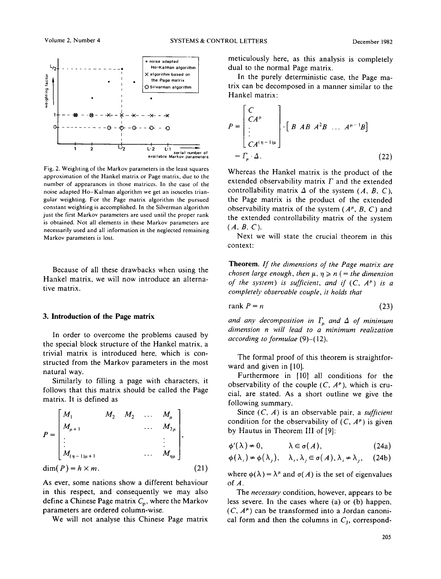

Fig. 2. Weighting of the Markov parameters in the least squares approximation of the Hankel matrix or Page matrix, due to the number of appearances in those matrices. In the case of the noise adapted Ho-Kalman algorithm we get an isosceles triangular weighting. For the Page matrix algorithm the pursued constant weighting is accomplished. In the Silverman algorithm just the first Markov parameters are used until the proper rank is obtained. Not all elements in these Markov parameters are necessarily used and all information in the neglected remaining Markov parameters is lost.

Because of all these drawbacks when using the Hankel matrix, we will now introduce an alternative matrix.

#### **3. Introduction of the Page matrix**

In order to overcome the problems caused by the special block structure of the Hankel matrix, a trivial matrix is introduced here, which is constructed from the Markov parameters in the most natural way.

Similarly to filling a page with characters, it follows that this matrix should be called the Page matrix. It is defined as

$$
P = \begin{bmatrix} M_1 & M_2 & M_2 & \dots & M_{\mu} \\ M_{\mu+1} & & \dots & M_{2\mu} \\ \vdots & & & \vdots \\ M_{(\eta-1)\mu+1} & & & \dots & M_{\eta\mu} \end{bmatrix},
$$
  
dim $(P) = h \times m$ . (21)

As ever, some nations show a different behaviour in this respect, and consequently we may also define a Chinese Page matrix  $C_p$ , where the Markov parameters are ordered column-wise.

We will not analyse this Chinese Page matrix

meticulously here, as this analysis is completely dual to the normal Page matrix.

In the purely deterministic case, the Page matrix can be decomposed in a manner similar to the Hankel matrix:

$$
P = \begin{bmatrix} C \\ CA^{\mu} \\ \vdots \\ CA^{(\eta-1)\mu} \end{bmatrix} \cdot \begin{bmatrix} B & AB & A^2B & \dots & A^{\mu-1}B \end{bmatrix}
$$
\n
$$
= \Gamma_{\mu} \cdot \Delta. \tag{22}
$$

Whereas the Hankel matrix is the product of the extended observability matrix  $\Gamma$  and the extended controllability matrix  $\Delta$  of the system  $(A, B, C)$ , the Page matrix is the product of the extended observability matrix of the system  $(A^{\mu}, B, C)$  and the extended controllability matrix of the system *(A, B, C).* 

Next we will state the crucial theorem in this context:

Theorem. *If the dimensions of the Page matrix are chosen large enough, then*  $\mu$ ,  $\eta \geq n$  (= the dimension *of the system) is sufficient, and if*  $(C, A^{\mu})$  *is a completely observable couple, it holds that* 

$$
rank P = n \tag{23}
$$

and any decomposition in  $\Gamma_{\mu}$  and  $\Delta$  of minimum *dimension n will lead to a minimum realization according to formulae* (9)-(12).

The formal proof of this theorem is straightforward and given in [10].

Furthermore in [10] all conditions for the observability of the couple  $(C, A^{\mu})$ , which is crucial, are stated. As a short outline we give the following summary.

Since (C, A) is an observable pair, a *sufficient*  condition for the observability of  $(C, A^{\mu})$  is given by Hautus in Theorem III of [9]:

$$
\phi'(\lambda) \neq 0, \qquad \lambda \in \sigma(A), \qquad (24a)
$$

$$
\phi(\lambda_i) \neq \phi(\lambda_j), \quad \lambda_i, \lambda_j \in \sigma(A), \lambda_i \neq \lambda_j, \quad (24b)
$$

where  $\phi(\lambda) = \lambda^{\mu}$  and  $\sigma(A)$  is the set of eigenvalues of A.

The *necessary* condition, however, appears to be less severe. In the cases where (a) or (b) happen,  $(C, A^{\mu})$  can be transformed into a Jordan canonical form and then the columns in  $C_1$ , correspond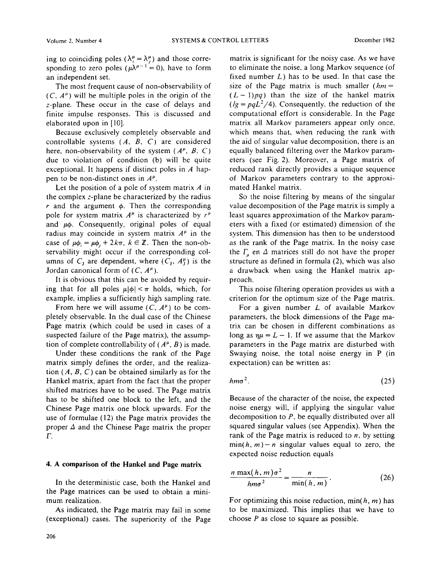ing to coinciding poles ( $\lambda_i^{\mu} = \lambda_i^{\mu}$ ) and those corresponding to zero poles ( $\mu \lambda^{\mu-1} = 0$ ), have to form an independent set.

The most frequent cause of non-observability of  $(C, A^{\mu})$  will be multiple poles in the origin of the z-plane. These occur in the case of delays and finite impulse responses. This is discussed and elaborated upon in [10].

Because exclusively completely observable and controllable systems *(A, B, C)* are considered here, non-observability of the system  $(A^{\mu}, B, C)$ due to violation of condition (b) will be quite exceptional. It happens if distinct poles in  $A$  happen to be non-distinct ones in  $A^{\mu}$ .

Let the position of a pole of system matrix  $A$  in the complex z-plane be characterized by the radius r and the argument  $\phi$ . Then the corresponding pole for system matrix  $A^{\mu}$  is characterized by  $r^{\mu}$ and  $\mu\phi$ . Consequently, original poles of equal radius may coincide in system matrix  $A^{\mu}$  in the case of  $\mu\phi_i = \mu\phi_i + 2k\pi$ ,  $k \in \mathbb{Z}$ . Then the non-observability might occur if the corresponding columns of  $C_j$  are dependent, where  $(C_j, A_j^{\mu})$  is the Jordan canonical form of  $(C, A^{\mu})$ .

It is obvious that this can be avoided by requiring that for all poles  $\mu|\phi| < \pi$  holds, which, for example, implies a sufficiently high sampling rate.

From here we will assume  $(C, A^{\mu})$  to be completely observable. In the dual case of the Chinese Page matrix (which could be used in cases of a suspected failure of the Page matrix), the assumption of complete controllability of  $(A^{\mu}, B)$  is made.

Under these conditions the rank of the Page matrix simply defines the order, and the realization  $(A, B, C)$  can be obtained similarly as for the Hankel matrix, apart from the fact that the proper shifted matrices have to be used. The Page matrix has to be shifted one block to the left, and the Chinese Page matrix one block upwards. For the use of formulae (12) the Page matrix provides the proper  $\Delta$  and the Chinese Page matrix the proper F.

## **4. A comparison of the Hankel and Page matrix**

In the deterministic case, both the Hankel and the Page matrices can be used to obtain a minimum realization.

As indicated, the Page matrix may fail in some (exceptional) cases. The superiority of the Page matrix is significant for the noisy case. As we have to eliminate the noise, a long Markov sequence (of fixed number  $L$ ) has to be used. In that case the size of the Page matrix is much smaller  $(hm =$  $(L-1)pq$ ) than the size of the hankel matrix  $I/g = pqL^2/4$ ). Consequently, the reduction of the computational effort is considerable. In the Page matrix all Markov parameters appear only once, which means that, when reducing the rank with the aid of singular value decomposition, there is an equally balanced filtering over the Markov parameters (see Fig. 2). Moreover, a Page matrix of reduced rank directly provides a unique sequence of Markov parameters contrary to the approximated Hankel matrix.

So the noise filtering by means of the singular value decomposition of the Page matrix is simply a least squares approximation of the Markov parameters with a fixed (or estimated) dimension of the system. This dimension has then to be understood as the rank of the Page matrix. In the noisy case the  $\Gamma_n$  en  $\Delta$  matrices still do not have the proper structure as defined in formula (2), which was also a drawback when using the Hankel matrix approach.

This noise filtering operation provides us with a criterion for the optimum size of the Page matrix.

For a given number  $L$  of available Markov parameters, the block dimensions of the Page matrix can be chosen in different combinations as long as  $\eta\mu = L - 1$ . If we assume that the Markov parameters in the Page matrix are disturbed with Swaying noise, the total noise energy in P (in expectation) can be written as:

$$
hm\sigma^2.\tag{25}
$$

Because of the character of the noise, the expected noise energy will, if applying the singular value decomposition to  $P$ , be equally distributed over all squared singular values (see Appendix). When the rank of the Page matrix is reduced to  $n$ , by setting  $min(h, m) - n$  singular values equal to zero, the expected noise reduction equals

$$
\frac{n \max(h, m)\sigma^2}{h m \sigma^2} = \frac{n}{\min(h, m)}.
$$
 (26)

For optimizing this noise reduction, min( $h$ ,  $m$ ) has to be maximized. This implies that we have to choose  $P$  as close to square as possible.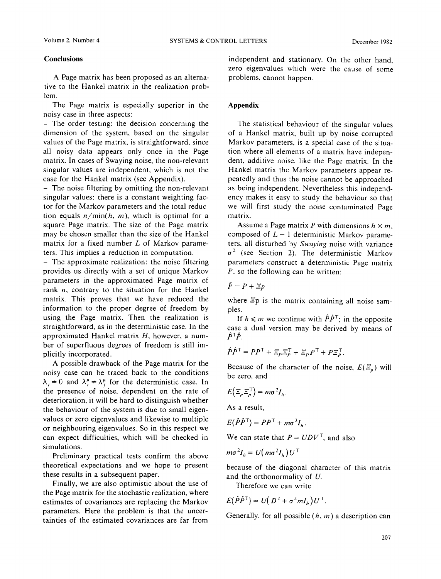## **Conclusions**

A Page matrix has been proposed as an alternative to the Hankel matrix in the realization problem.

The Page matrix is especially superior in the noisy case in three aspects:

- The order testing: the decision concerning the dimension of the system, based on the singular values of the Page matrix, is straightforward, since all noisy data appears only once in the Page matrix. In cases of Swaying noise, the non-relevant singular values are independent, which is not the case for the Hankel matrix (see Appendix).

**-** The noise filtering by omitting the non-relevant singular values: there is a constant weighting factor for the Markov parameters and the total reduction equals  $n/min(h, m)$ , which is optimal for a square Page matrix. The size of the Page matrix may be chosen smaller than the size of the Hankel matrix for a fixed number L of Markov parameters. This implies a reduction in computation.

- The approximate realization: the noise filtering provides us directly with a set of unique Markov parameters in the approximated Page matrix of rank  $n$ , contrary to the situation for the Hankel matrix. This proves that we have reduced the information to the proper degree of freedom by using the Page matrix. Then the realization is straightforward, as in the deterministic case. In the approximated Hankel matrix *H,* however, a number of superfluous degrees of freedom is still implicitly incorporated.

A possible drawback of the Page matrix for the noisy case can be traced back to the conditions  $\lambda_i \neq 0$  and  $\lambda_i^{\mu} \neq \lambda_i^{\mu}$  for the deterministic case. In the presence of noise, dependent on the rate of deterioration, it will be hard to distinguish whether the behaviour of the system is due to small eigenvalues or zero eigenvalues and likewise to multiple or neighbouring eigenvalues. So in this respect we can expect difficulties, which will be checked in simulations.

Preliminary practical tests confirm the above theoretical expectations and we hope to present these results in a subsequent paper.

Finally, we are also optimistic about the use of the Page matrix for the stochastic realization, where estimates of covariances are replacing the Markov parameters. Here the problem is that the uncertainties of the estimated covariances are far from

independent and stationary. On the other hand, zero eigenvalues which were the cause of some problems, cannot happen.

# **Appendix**

The statistical behaviour of the singular values of a Hankel matrix, built up by noise corrupted Markov parameters, is a special case of the situation where all elements of a matrix have independent, additive noise, like the Page matrix. In the Hankel matrix the Markov parameters appear repeatedly and thus the noise cannot be approached as being independent. Nevertheless this independency makes it easy to study the behaviour so that we will first study the noise contaminated Page matrix.

Assume a Page matrix P with dimensions  $h \times m$ , composed of  $L-1$  deterministic Markov parameters, all disturbed by *Swaying* noise with variance  $\sigma^2$  (see Section 2). The deterministic Markov parameters construct a deterministic Page matrix *P,* so the following can be written:

# $\hat{P}=P+\Xi p$

where  $\Xi p$  is the matrix containing all noise samples.

If  $h \le m$  we continue with  $\hat{P}\hat{P}^T$ ; in the opposite case a dual version may be derived by means of  $\hat{P}^T \hat{P}$ .

$$
\hat{P}\hat{P}^{\mathsf{T}} = PP^{\mathsf{T}} + \mathbb{E}_P \mathbb{E}_P^{\mathsf{T}} + \mathbb{E}_P P^{\mathsf{T}} + P \mathbb{E}_P^{\mathsf{T}}.
$$

Because of the character of the noise,  $E(\Xi_n)$  will be zero, and

$$
E\left\{\Xi_{\rho}\Xi_{\rho}^{\mathrm{T}}\right\}=m\sigma^{2}I_{h}.
$$

As a result,

$$
E\{\hat{P}\hat{P}^{\mathsf{T}}\} = PP^{\mathsf{T}} + m\sigma^2 I_{\mu}.
$$

We can state that  $P = U D V<sup>T</sup>$ , and also

$$
m\sigma^2 I_b = U(m\sigma^2 I_b)U^{\mathsf{T}}
$$

because of the diagonal character of this matrix and the orthonormality of U.

Therefore we can write

$$
E\{\hat{P}\hat{P}^{\mathrm{T}}\} = U\big(D^2 + \sigma^2 m I_h\big)U^{\mathrm{T}}.
$$

Generally, for all possible  $(h, m)$  a description can